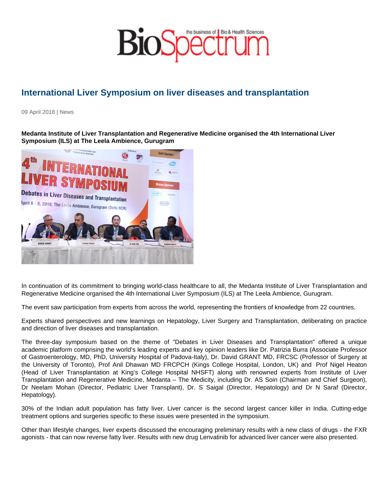## International Liver Symposium on liver diseases and transplantation

09 April 2018 | News

Medanta Institute of Liver Transplantation and Regenerative Medicine organised the 4th International Liver Symposium (ILS) at The Leela Ambience, Gurugram

In continuation of its commitment to bringing world-class healthcare to all, the Medanta Institute of Liver Transplantation and Regenerative Medicine organised the 4th International Liver Symposium (ILS) at The Leela Ambience, Gurugram.

The event saw participation from experts from across the world, representing the frontiers of knowledge from 22 countries.

Experts shared perspectives and new learnings on Hepatology, Liver Surgery and Transplantation, deliberating on practice and direction of liver diseases and transplantation.

The three-day symposium based on the theme of "Debates in Liver Diseases and Transplantation" offered a unique academic platform comprising the world's leading experts and key opinion leaders like Dr. Patrizia Burra (Associate Professor of Gastroenterology, MD, PhD, University Hospital of Padova-Italy), Dr. David GRANT MD, FRCSC (Professor of Surgery at the University of Toronto), Prof Anil Dhawan MD FRCPCH (Kings College Hospital, London, UK) and Prof Nigel Heaton (Head of Liver Transplantation at King's College Hospital NHSFT) along with renowned experts from Institute of Liver Transplantation and Regenerative Medicine, Medanta – The Medicity, including Dr. AS Soin (Chairman and Chief Surgeon), Dr Neelam Mohan (Director, Pediatric Liver Transplant), Dr. S Saigal (Director, Hepatology) and Dr N Saraf (Director, Hepatology).

30% of the Indian adult population has fatty liver. Liver cancer is the second largest cancer killer in India. Cutting-edge treatment options and surgeries specific to these issues were presented in the symposium.

Other than lifestyle changes, liver experts discussed the encouraging preliminary results with a new class of drugs - the FXR agonists - that can now reverse fatty liver. Results with new drug Lenvatinib for advanced liver cancer were also presented.